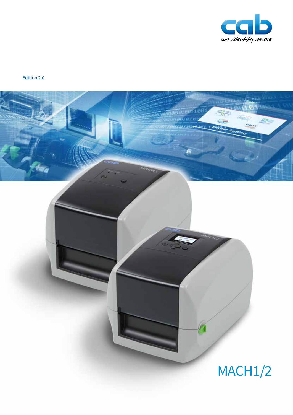

Edition 2.0

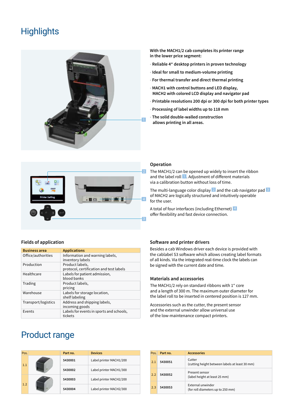# **Highlights**



**With the MACH1/2 cab completes its printer range in the lower price segment:**

- **Reliable 4" desktop printers in proven technology**
- **Ideal for small to medium-volume printing**
- • **For thermal transfer and direct thermal printing**
- • **MACH1 with control buttons and LED display, MACH2 with colored LCD display and navigator pad**
- • **Printable resolutions 200 dpi or 300 dpi for both printer types**
- • **Processing of label widths up to 118 mm**
- • **The solid double-walled construction allows printing in all areas.**



## **Fields of application**

| <b>Business area</b> | <b>Applications</b>                                        |
|----------------------|------------------------------------------------------------|
| Office/authorities   | Information and warning labels,<br>inventory labels        |
| Production           | Product labels,<br>protocol, certification and test labels |
| Healthcare           | Labels for patient admission,<br>blood banks               |
| Trading              | Product labels,<br>pricing                                 |
| Warehouse            | Labels for storage location,<br>shelf labeling             |
| Transport/logistics  | Address and shipping labels,<br>incoming goods             |
| Events               | Labels for events in sports and schools,<br>tickets        |

# Product range

# **Pos. Part no. Devices** 1.1 **5430001** Label printer MACH1/200 **5430002** Label printer MACH1/300 1.2 **5430003** Label printer MACH2/200 **5430004** Label printer MACH2/300

## **Operation**

The MACH1/2 can be opened up widely to insert the ribbon and the label roll 1. Adjustment of different materials via a calibration button without loss of time.

The multi-language color display  $2$  and the cab navigator pad  $3$ of MACH2 are logically structured and intuitively operable for the user.

A total of four interfaces (including Ethernet) 4 offer flexibility and fast device connection.

## **Software and printer drivers**

Besides a cab Windows driver each device is provided with the cablabel S3 software which allows creating label formats of all kinds. Via the integrated real-time clock the labels can be signed with the current date and time.

## **Materials and accessories**

The MACH1/2 rely on standard ribbons with 1" core and a length of 300 m. The maximum outer diameter for the label roll to be inserted in centered position is 127 mm.

Accessories such as the cutter, the present sensor and the external unwinder allow universal use of the low-maintenance compact printers.

| Pos. | Part no. | <b>Accessories</b>                                       |
|------|----------|----------------------------------------------------------|
| 2.1  | 5430051  | Cutter<br>(cutting height between labels at least 30 mm) |
| 2.2  | 5430052  | Present sensor<br>(label height at least 25 mm)          |
| 2.3  | 5430053  | External unwinder<br>(for roll diameters up to 250 mm)   |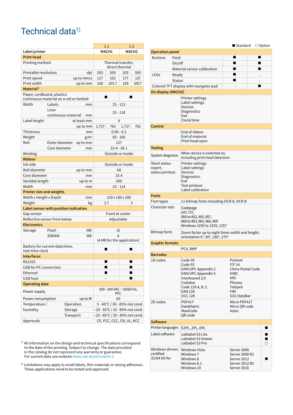# Technical data<sup>1)</sup>

|                                                                        |                     |           |                                     | 1.1                             |                   | 1.2   |       |
|------------------------------------------------------------------------|---------------------|-----------|-------------------------------------|---------------------------------|-------------------|-------|-------|
| Label printer                                                          |                     |           | MACH1                               |                                 | MACH <sub>2</sub> |       |       |
| <b>Print head</b>                                                      |                     |           |                                     |                                 |                   |       |       |
| Printing method                                                        |                     |           | Thermal transfer,<br>direct thermal |                                 |                   |       |       |
| Printable resolution                                                   |                     |           | dpi                                 | 203                             | 300               | 203   | 300   |
| Print speed                                                            |                     |           | up to mm/s                          | 127                             | 102               | 177   | 127   |
| Print width                                                            |                     |           | up to mm                            | 108                             | 105.7             | 108   | 105.7 |
| Material <sup>2)</sup>                                                 |                     |           |                                     |                                 |                   |       |       |
| Paper, cardboard, plastics<br>continuous material on a roll or fanfold |                     |           |                                     | ■                               |                   |       |       |
| Width                                                                  | Labels              |           | mm                                  | $25 - 112$                      |                   |       |       |
|                                                                        | Liner               |           |                                     | $25 - 118$                      |                   |       |       |
|                                                                        | continuous material |           | mm                                  |                                 |                   |       |       |
| Label height                                                           |                     |           | at least mm                         |                                 | 4                 |       |       |
|                                                                        |                     |           | up to mm                            | 1,727                           | 762               | 1,727 | 762   |
| <b>Thickness</b>                                                       |                     |           | mm                                  |                                 | $0.06 - 0.2$      |       |       |
| Weight                                                                 |                     |           | $g/m^2$                             | $60 - 160$                      |                   |       |       |
| Roll                                                                   | Outer diameter      |           | up to mm                            | 127                             |                   |       |       |
|                                                                        | Core diameter       |           | mm                                  | $25.4 - 38.1$                   |                   |       |       |
| Winding                                                                |                     |           |                                     |                                 | Outside or inside |       |       |
| <b>Ribbon</b>                                                          |                     |           |                                     |                                 |                   |       |       |
| Ink side                                                               |                     |           |                                     | Outside or inside               |                   |       |       |
| Roll diameter                                                          |                     |           | up to mm                            | 68                              |                   |       |       |
| Core diameter                                                          |                     |           | mm                                  | 25.4                            |                   |       |       |
| Variable length                                                        |                     |           | up to m                             | 300                             |                   |       |       |
| Width                                                                  |                     |           | mm                                  |                                 | $25 - 114$        |       |       |
| <b>Printer size and weights</b>                                        |                     |           |                                     |                                 |                   |       |       |
| Width x Height x Depth                                                 |                     |           | mm                                  | 210 x 186 x 280                 |                   |       |       |
| Weight                                                                 |                     |           | kg                                  | 2.7<br>3                        |                   |       |       |
| Label sensor with position indication                                  |                     |           |                                     |                                 |                   |       |       |
| Gap sensor                                                             |                     |           |                                     | Fixed at center                 |                   |       |       |
| Reflective sensor from below                                           |                     |           |                                     | Adjustable                      |                   |       |       |
| <b>Electronics</b>                                                     |                     |           |                                     |                                 |                   |       |       |
| Storage                                                                | Flash               |           | MВ                                  |                                 | 16                |       |       |
|                                                                        | SDRAM<br>MВ         |           |                                     | 8<br>(4 MB for the application) |                   |       |       |
| Battery for current date/time,<br>real-time clock                      |                     |           |                                     |                                 |                   |       |       |
| <b>Interfaces</b>                                                      |                     |           |                                     |                                 |                   |       |       |
| <b>RS232C</b>                                                          |                     |           |                                     |                                 |                   |       |       |
| USB for PC connection                                                  |                     |           |                                     |                                 | ■                 | ш     |       |
| Ethernet                                                               |                     |           | ■                                   |                                 |                   |       |       |
| USB host                                                               |                     |           |                                     |                                 | ■                 |       |       |
| <b>Operating data</b>                                                  |                     |           |                                     |                                 |                   |       |       |
| Power supply                                                           |                     |           | 100 - 240 VAC ~ 50/60 Hz,<br>PFC    |                                 |                   |       |       |
|                                                                        | Power consumption   |           | up to W                             | 60                              |                   |       |       |
| Temperature /                                                          |                     | Operation |                                     | 5 - 40°C / 30 - 85% not cond.   |                   |       |       |
| humidity                                                               |                     | Storage   |                                     | -20 - 50°C / 10 - 90% not cond. |                   |       |       |
|                                                                        |                     | Transport |                                     | –25 - 60°C / 20 - 80% not cond. |                   |       |       |
| Approvals                                                              |                     |           |                                     | CE, FCC, CCC, CB, UL, KCC       |                   |       |       |

<sup>1)</sup> All information on the design and technical specifications correspond to the date of the printing. Subject to change. The data provided in the catalog do not represent any warranty or guarantee. For current data see website www.cab.de/en/mach1-2

<sup>2)</sup> Limitations may apply to small labels, thin materials or strong adhesives. These applications need to be tested and approved.

|                                               |                                                                                                                                                      | $\blacksquare$ Standard $\Box$ Option                                                                           |  |
|-----------------------------------------------|------------------------------------------------------------------------------------------------------------------------------------------------------|-----------------------------------------------------------------------------------------------------------------|--|
| <b>Operation panel</b>                        |                                                                                                                                                      |                                                                                                                 |  |
| <b>Buttons</b>                                | Feed                                                                                                                                                 |                                                                                                                 |  |
|                                               | On/off                                                                                                                                               | ■                                                                                                               |  |
|                                               | Material sensor calibration                                                                                                                          |                                                                                                                 |  |
| <b>LEDs</b>                                   | Ready                                                                                                                                                |                                                                                                                 |  |
|                                               | <b>Status</b>                                                                                                                                        |                                                                                                                 |  |
|                                               | Colored TFT display with navigator pad                                                                                                               |                                                                                                                 |  |
| On display (MACH2)                            |                                                                                                                                                      |                                                                                                                 |  |
|                                               | Printer settings<br>Label settings<br><b>Devices</b><br>Diagnostics<br>Exit<br>Clock/time                                                            |                                                                                                                 |  |
| Control                                       |                                                                                                                                                      |                                                                                                                 |  |
|                                               | End of ribbon<br>End of material<br>Print head open                                                                                                  |                                                                                                                 |  |
| <b>Testing</b>                                |                                                                                                                                                      |                                                                                                                 |  |
| System diagnosis                              | When device is switched on,<br>including print head detection                                                                                        |                                                                                                                 |  |
| Short status<br>report,<br>status printout    | Printer settings<br>Label settings<br><b>Devices</b><br>Diagnostics<br>Exit<br>Test printout<br>Label calibration                                    |                                                                                                                 |  |
| Fonts                                         |                                                                                                                                                      |                                                                                                                 |  |
| Font types                                    | 11 bitmap fonts including OCR-A, OCR-B                                                                                                               |                                                                                                                 |  |
| Character sets                                | Codepage<br>437, 737,<br>850 to 852, 855, 857,<br>860 to 863, 865, 866, 869<br>Windows 1250 to 1255, 1257                                            |                                                                                                                 |  |
| Bitmap fonts                                  | Zoom factor up to eight times width and height;<br>orientation 0°, 90°, 180°, 270°                                                                   |                                                                                                                 |  |
| <b>Graphic formats</b>                        |                                                                                                                                                      |                                                                                                                 |  |
|                                               | PCX, BMP                                                                                                                                             |                                                                                                                 |  |
| <b>Barcodes</b>                               |                                                                                                                                                      |                                                                                                                 |  |
| 1D codes                                      | Code 39<br>Code 93<br>EAN/UPC Appendix 2<br>EAN/UPC Appendix 5<br>Interleaved 2/5<br>Codabar<br>Code 128 A, B, C<br><b>EAN 128</b><br><b>UCC 128</b> | Postnet<br><b>ITF 14</b><br>China Postal Code<br>HIBC<br>MSI<br>Plessey<br>Telepen<br><b>FIM</b><br>GS1 DataBar |  |
| 2D codes                                      | <b>PDF417</b><br>DataMatrix<br>MaxiCode<br>QR code                                                                                                   | Micro PDF417<br>Micro QR code<br>Aztec                                                                          |  |
| Software                                      |                                                                                                                                                      |                                                                                                                 |  |
| Printer languages                             | EZPL, ZPL, EPL                                                                                                                                       |                                                                                                                 |  |
| Label software                                | cablabel S3 Lite<br>cablabel S3 Viewer<br>cablabel S3 Pro                                                                                            |                                                                                                                 |  |
| Windows drivers<br>certified<br>32/64 bit for | Windows Vista<br>Windows 7<br>Windows 8<br>Windows 8.1<br>Windows 10                                                                                 | Server 2008<br>Server 2008 R2<br>Server 2012<br>Server 2012 R2<br>Server 2016                                   |  |